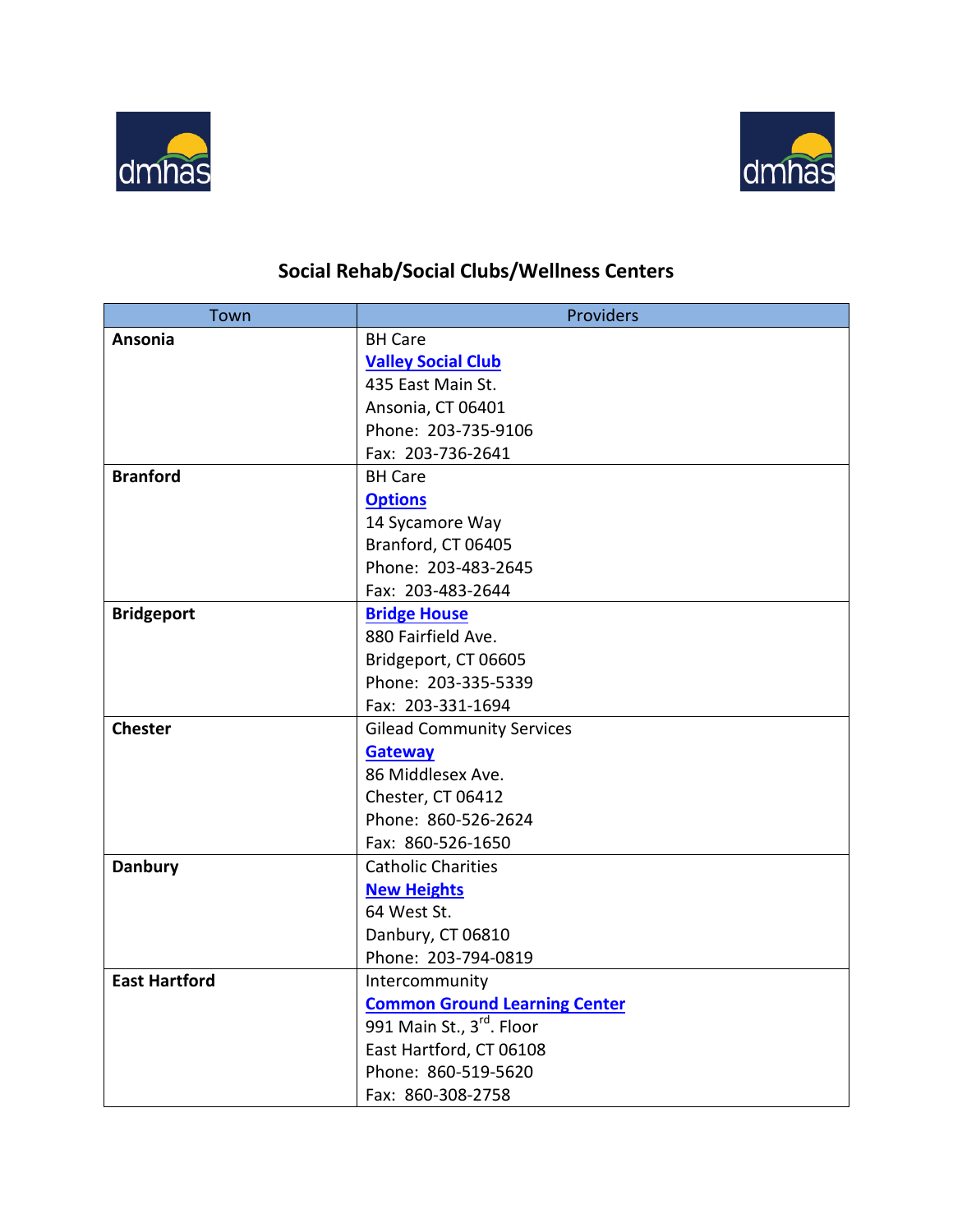



## **Social Rehab/Social Clubs/Wellness Centers**

| Town                 | Providers                            |
|----------------------|--------------------------------------|
| Ansonia              | <b>BH Care</b>                       |
|                      | <b>Valley Social Club</b>            |
|                      | 435 East Main St.                    |
|                      | Ansonia, CT 06401                    |
|                      | Phone: 203-735-9106                  |
|                      | Fax: 203-736-2641                    |
| <b>Branford</b>      | <b>BH Care</b>                       |
|                      | <b>Options</b>                       |
|                      | 14 Sycamore Way                      |
|                      | Branford, CT 06405                   |
|                      | Phone: 203-483-2645                  |
|                      | Fax: 203-483-2644                    |
| <b>Bridgeport</b>    | <b>Bridge House</b>                  |
|                      | 880 Fairfield Ave.                   |
|                      | Bridgeport, CT 06605                 |
|                      | Phone: 203-335-5339                  |
|                      | Fax: 203-331-1694                    |
| <b>Chester</b>       | <b>Gilead Community Services</b>     |
|                      | <b>Gateway</b>                       |
|                      | 86 Middlesex Ave.                    |
|                      | Chester, CT 06412                    |
|                      | Phone: 860-526-2624                  |
|                      | Fax: 860-526-1650                    |
| <b>Danbury</b>       | <b>Catholic Charities</b>            |
|                      | <b>New Heights</b>                   |
|                      | 64 West St.                          |
|                      | Danbury, CT 06810                    |
|                      | Phone: 203-794-0819                  |
| <b>East Hartford</b> | Intercommunity                       |
|                      | <b>Common Ground Learning Center</b> |
|                      | 991 Main St., 3rd. Floor             |
|                      | East Hartford, CT 06108              |
|                      | Phone: 860-519-5620                  |
|                      | Fax: 860-308-2758                    |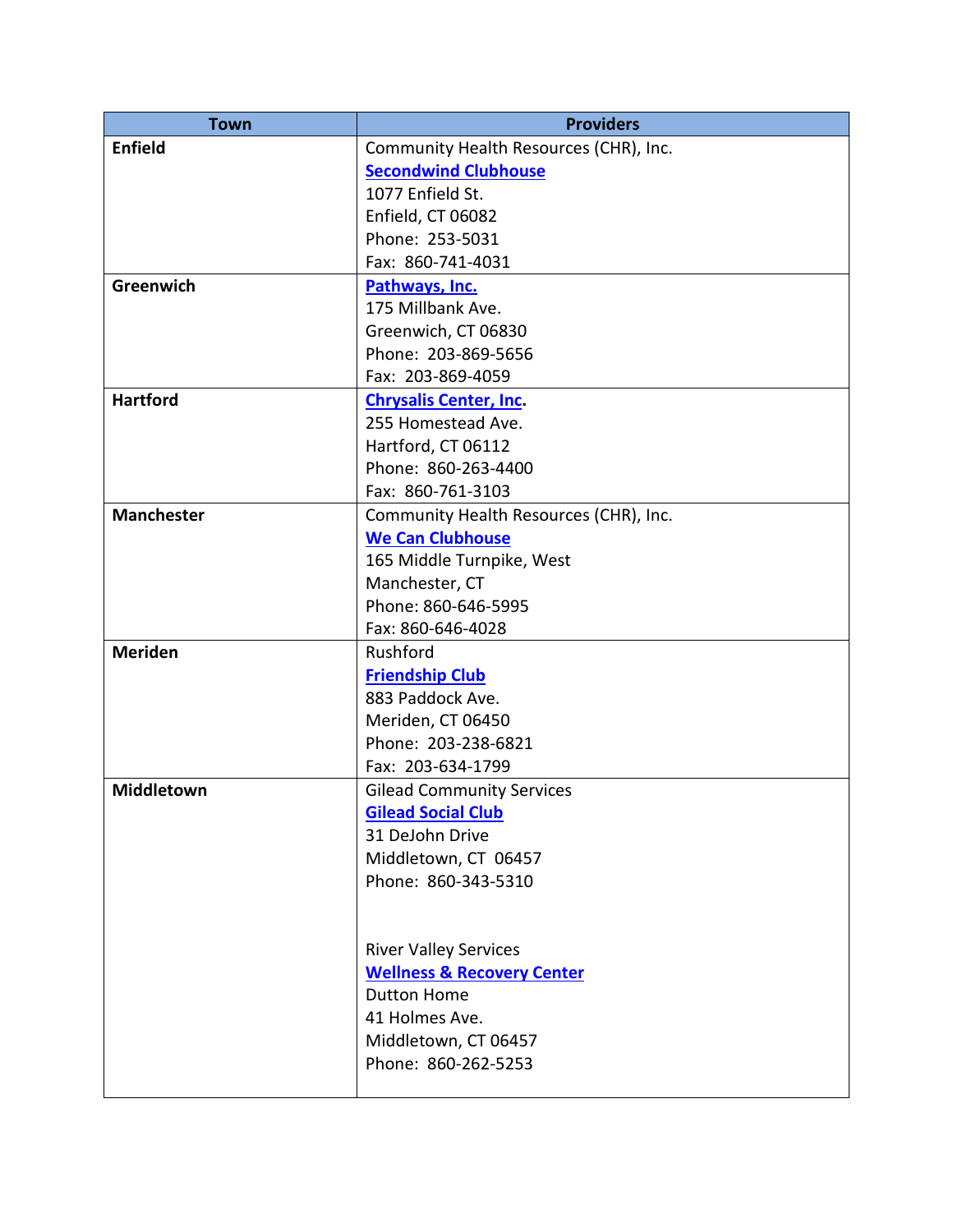| <b>Town</b>       | <b>Providers</b>                       |
|-------------------|----------------------------------------|
| <b>Enfield</b>    | Community Health Resources (CHR), Inc. |
|                   | <b>Secondwind Clubhouse</b>            |
|                   | 1077 Enfield St.                       |
|                   | Enfield, CT 06082                      |
|                   | Phone: 253-5031                        |
|                   | Fax: 860-741-4031                      |
| <b>Greenwich</b>  | Pathways, Inc.                         |
|                   | 175 Millbank Ave.                      |
|                   | Greenwich, CT 06830                    |
|                   | Phone: 203-869-5656                    |
|                   | Fax: 203-869-4059                      |
| <b>Hartford</b>   | <b>Chrysalis Center, Inc.</b>          |
|                   | 255 Homestead Ave.                     |
|                   | Hartford, CT 06112                     |
|                   | Phone: 860-263-4400                    |
|                   | Fax: 860-761-3103                      |
| <b>Manchester</b> | Community Health Resources (CHR), Inc. |
|                   | <b>We Can Clubhouse</b>                |
|                   | 165 Middle Turnpike, West              |
|                   | Manchester, CT                         |
|                   | Phone: 860-646-5995                    |
|                   | Fax: 860-646-4028                      |
| <b>Meriden</b>    | Rushford                               |
|                   | <b>Friendship Club</b>                 |
|                   | 883 Paddock Ave.                       |
|                   | Meriden, CT 06450                      |
|                   | Phone: 203-238-6821                    |
|                   | Fax: 203-634-1799                      |
| <b>Middletown</b> | <b>Gilead Community Services</b>       |
|                   | <b>Gilead Social Club</b>              |
|                   | 31 DeJohn Drive                        |
|                   | Middletown, CT 06457                   |
|                   | Phone: 860-343-5310                    |
|                   |                                        |
|                   |                                        |
|                   | <b>River Valley Services</b>           |
|                   | <b>Wellness &amp; Recovery Center</b>  |
|                   | <b>Dutton Home</b>                     |
|                   | 41 Holmes Ave.                         |
|                   | Middletown, CT 06457                   |
|                   | Phone: 860-262-5253                    |
|                   |                                        |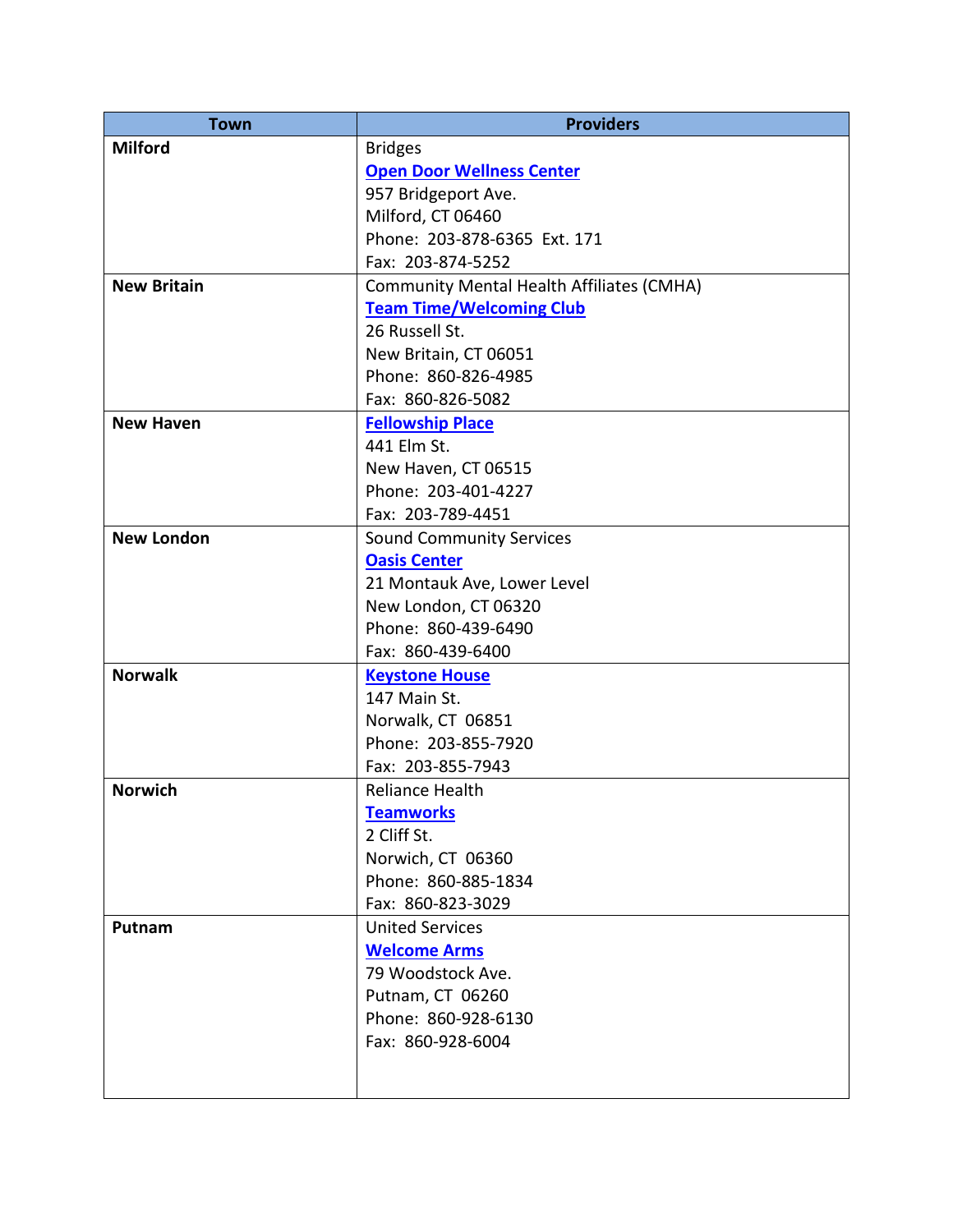| <b>Town</b>        | <b>Providers</b>                                 |
|--------------------|--------------------------------------------------|
| <b>Milford</b>     | <b>Bridges</b>                                   |
|                    | <b>Open Door Wellness Center</b>                 |
|                    | 957 Bridgeport Ave.                              |
|                    | Milford, CT 06460                                |
|                    | Phone: 203-878-6365 Ext. 171                     |
|                    | Fax: 203-874-5252                                |
| <b>New Britain</b> | <b>Community Mental Health Affiliates (CMHA)</b> |
|                    | <b>Team Time/Welcoming Club</b>                  |
|                    | 26 Russell St.                                   |
|                    | New Britain, CT 06051                            |
|                    | Phone: 860-826-4985                              |
|                    | Fax: 860-826-5082                                |
| <b>New Haven</b>   | <b>Fellowship Place</b>                          |
|                    | 441 Elm St.                                      |
|                    | New Haven, CT 06515                              |
|                    | Phone: 203-401-4227                              |
|                    | Fax: 203-789-4451                                |
| <b>New London</b>  | <b>Sound Community Services</b>                  |
|                    | <b>Oasis Center</b>                              |
|                    | 21 Montauk Ave, Lower Level                      |
|                    | New London, CT 06320                             |
|                    | Phone: 860-439-6490                              |
|                    | Fax: 860-439-6400                                |
| <b>Norwalk</b>     | <b>Keystone House</b>                            |
|                    | 147 Main St.                                     |
|                    | Norwalk, CT 06851                                |
|                    | Phone: 203-855-7920                              |
|                    | Fax: 203-855-7943                                |
| <b>Norwich</b>     | <b>Reliance Health</b>                           |
|                    | <b>Teamworks</b>                                 |
|                    | 2 Cliff St.                                      |
|                    | Norwich, CT 06360                                |
|                    | Phone: 860-885-1834                              |
|                    | Fax: 860-823-3029                                |
| Putnam             | <b>United Services</b>                           |
|                    | <b>Welcome Arms</b>                              |
|                    | 79 Woodstock Ave.                                |
|                    | Putnam, CT 06260                                 |
|                    | Phone: 860-928-6130                              |
|                    | Fax: 860-928-6004                                |
|                    |                                                  |
|                    |                                                  |